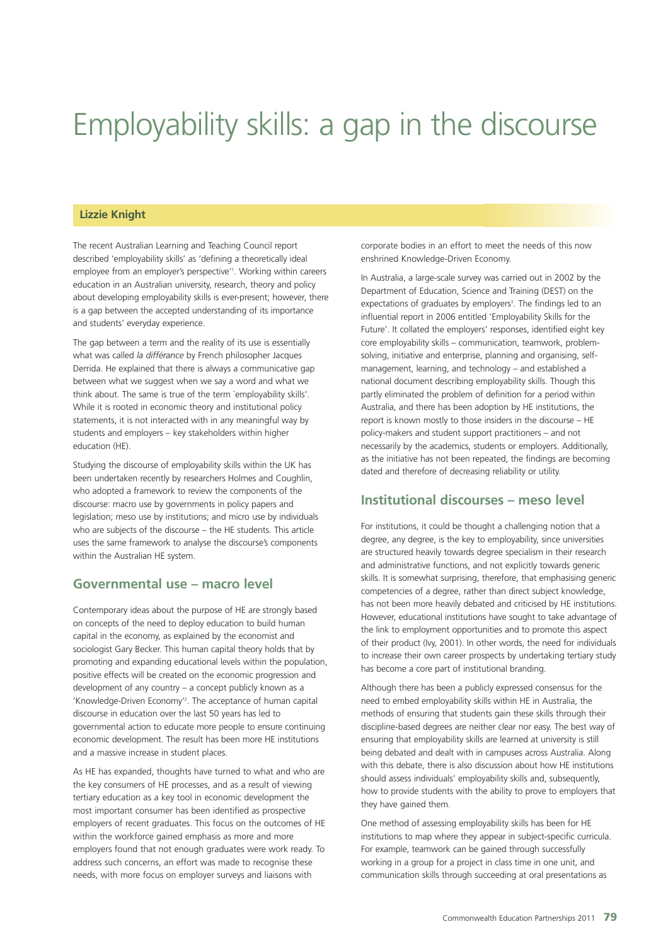# Employability skills: a gap in the discourse

#### **Lizzie Knight**

The recent Australian Learning and Teaching Council report described 'employability skills' as 'defining a theoretically ideal employee from an employer's perspective'<sup>1</sup> . Working within careers education in an Australian university, research, theory and policy about developing employability skills is ever-present; however, there is a gap between the accepted understanding of its importance and students' everyday experience.

The gap between a term and the reality of its use is essentially what was called *la différance* by French philosopher Jacques Derrida. He explained that there is always a communicative gap between what we suggest when we say a word and what we think about. The same is true of the term `employability skills'. While it is rooted in economic theory and institutional policy statements, it is not interacted with in any meaningful way by students and employers – key stakeholders within higher education (HE).

Studying the discourse of employability skills within the UK has been undertaken recently by researchers Holmes and Coughlin, who adopted a framework to review the components of the discourse: macro use by governments in policy papers and legislation; meso use by institutions; and micro use by individuals who are subjects of the discourse – the HE students. This article uses the same framework to analyse the discourse's components within the Australian HE system.

## **Governmental use – macro level**

Contemporary ideas about the purpose of HE are strongly based on concepts of the need to deploy education to build human capital in the economy, as explained by the economist and sociologist Gary Becker. This human capital theory holds that by promoting and expanding educational levels within the population, positive effects will be created on the economic progression and development of any country – a concept publicly known as a 'Knowledge-Driven Economy'<sup>2</sup> . The acceptance of human capital discourse in education over the last 50 years has led to governmental action to educate more people to ensure continuing economic development. The result has been more HE institutions and a massive increase in student places.

As HE has expanded, thoughts have turned to what and who are the key consumers of HE processes, and as a result of viewing tertiary education as a key tool in economic development the most important consumer has been identified as prospective employers of recent graduates. This focus on the outcomes of HE within the workforce gained emphasis as more and more employers found that not enough graduates were work ready. To address such concerns, an effort was made to recognise these needs, with more focus on employer surveys and liaisons with

corporate bodies in an effort to meet the needs of this now enshrined Knowledge-Driven Economy.

In Australia, a large-scale survey was carried out in 2002 by the Department of Education, Science and Training (DEST) on the expectations of graduates by employers<sup>3</sup>. The findings led to an influential report in 2006 entitled 'Employability Skills for the Future'. It collated the employers' responses, identified eight key core employability skills – communication, teamwork, problemsolving, initiative and enterprise, planning and organising, selfmanagement, learning, and technology – and established a national document describing employability skills. Though this partly eliminated the problem of definition for a period within Australia, and there has been adoption by HE institutions, the report is known mostly to those insiders in the discourse – HE policy-makers and student support practitioners – and not necessarily by the academics, students or employers. Additionally, as the initiative has not been repeated, the findings are becoming dated and therefore of decreasing reliability or utility.

# **Institutional discourses – meso level**

For institutions, it could be thought a challenging notion that a degree, any degree, is the key to employability, since universities are structured heavily towards degree specialism in their research and administrative functions, and not explicitly towards generic skills. It is somewhat surprising, therefore, that emphasising generic competencies of a degree, rather than direct subject knowledge, has not been more heavily debated and criticised by HE institutions. However, educational institutions have sought to take advantage of the link to employment opportunities and to promote this aspect of their product (Ivy, 2001). In other words, the need for individuals to increase their own career prospects by undertaking tertiary study has become a core part of institutional branding.

Although there has been a publicly expressed consensus for the need to embed employability skills within HE in Australia, the methods of ensuring that students gain these skills through their discipline-based degrees are neither clear nor easy. The best way of ensuring that employability skills are learned at university is still being debated and dealt with in campuses across Australia. Along with this debate, there is also discussion about how HE institutions should assess individuals' employability skills and, subsequently, how to provide students with the ability to prove to employers that they have gained them.

One method of assessing employability skills has been for HE institutions to map where they appear in subject-specific curricula. For example, teamwork can be gained through successfully working in a group for a project in class time in one unit, and communication skills through succeeding at oral presentations as